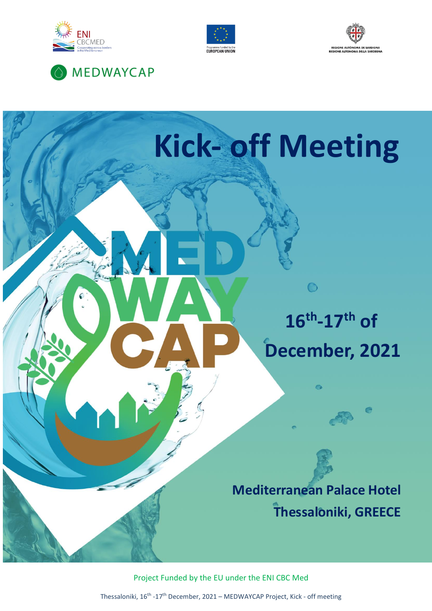

**MEDWAYCAP** 







Project Funded by the EU under the ENI CBC Med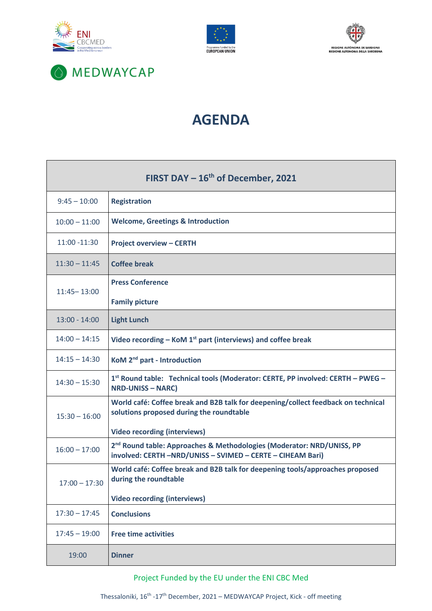







## **AGENDA**

| FIRST DAY $-16^{th}$ of December, 2021 |                                                                                                                                                                      |
|----------------------------------------|----------------------------------------------------------------------------------------------------------------------------------------------------------------------|
| $9:45 - 10:00$                         | <b>Registration</b>                                                                                                                                                  |
| $10:00 - 11:00$                        | <b>Welcome, Greetings &amp; Introduction</b>                                                                                                                         |
| 11:00 -11:30                           | <b>Project overview - CERTH</b>                                                                                                                                      |
| $11:30 - 11:45$                        | <b>Coffee break</b>                                                                                                                                                  |
| $11:45 - 13:00$                        | <b>Press Conference</b>                                                                                                                                              |
|                                        | <b>Family picture</b>                                                                                                                                                |
| $13:00 - 14:00$                        | <b>Light Lunch</b>                                                                                                                                                   |
| $14:00 - 14:15$                        | Video recording – KoM $1st$ part (interviews) and coffee break                                                                                                       |
| $14:15 - 14:30$                        | KoM 2 <sup>nd</sup> part - Introduction                                                                                                                              |
| $14:30 - 15:30$                        | 1st Round table: Technical tools (Moderator: CERTE, PP involved: CERTH - PWEG -<br><b>NRD-UNISS - NARC)</b>                                                          |
| $15:30 - 16:00$                        | World café: Coffee break and B2B talk for deepening/collect feedback on technical<br>solutions proposed during the roundtable<br><b>Video recording (interviews)</b> |
| $16:00 - 17:00$                        | 2 <sup>nd</sup> Round table: Approaches & Methodologies (Moderator: NRD/UNISS, PP<br>involved: CERTH -NRD/UNISS - SVIMED - CERTE - CIHEAM Bari)                      |
| $17:00 - 17:30$                        | World café: Coffee break and B2B talk for deepening tools/approaches proposed<br>during the roundtable                                                               |
|                                        | <b>Video recording (interviews)</b>                                                                                                                                  |
| $17:30 - 17:45$                        | <b>Conclusions</b>                                                                                                                                                   |
| $17:45 - 19:00$                        | <b>Free time activities</b>                                                                                                                                          |
| 19:00                                  | <b>Dinner</b>                                                                                                                                                        |

Project Funded by the EU under the ENI CBC Med